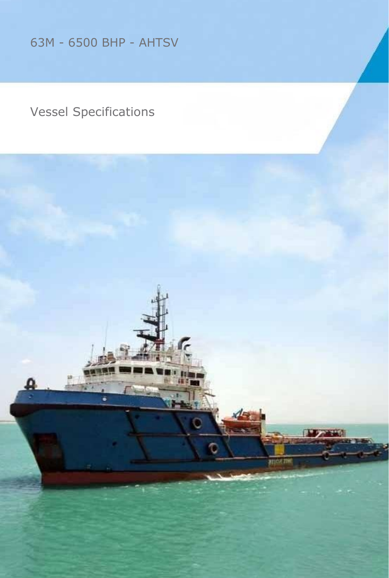63M - 6500 BHP - AHTSV

### Vessel Specifications

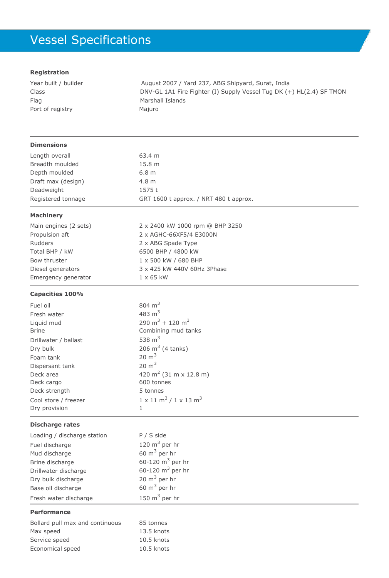# Vessel Specifications

#### **Registration**

| Year built / builder | August 2007 / Yard 237, ABG Shipyard, Surat, India                   |
|----------------------|----------------------------------------------------------------------|
| Class                | DNV-GL 1A1 Fire Fighter (I) Supply Vessel Tug DK (+) HL(2.4) SF TMON |
| Flag                 | Marshall Islands                                                     |
| Port of registry     | Majuro                                                               |
|                      |                                                                      |

2 x 2400 kW 1000 rpm @ BHP 3250

2 x AGHC-66XF5/4 E3000N 2 x ABG Spade Type 6500 BHP / 4800 kW 1 x 500 kW / 680 BHP

3 x 425 kW 440V 60Hz 3Phase

#### **Dimensions**

| Length overall     | 63.4 m                                 |
|--------------------|----------------------------------------|
| Breadth moulded    | 15.8 <sub>m</sub>                      |
| Depth moulded      | 6.8 <sub>m</sub>                       |
| Draft max (design) | 4.8 m                                  |
| Deadweight         | 1575t                                  |
| Registered tonnage | GRT 1600 t approx. / NRT 480 t approx. |
|                    |                                        |

 $1 \times 65$  kW

#### **Machinery**

| Main engines (2 sets) |
|-----------------------|
| Propulsion aft        |
| Rudders               |
| Total BHP / kW        |
| Bow thruster          |
| Diesel generators     |
| Emergency generator   |

#### **Capacities 100%**

| Fuel oil             | 804 $m3$                                            |
|----------------------|-----------------------------------------------------|
| Fresh water          | 483 $m3$                                            |
| Liquid mud           | 290 m <sup>3</sup> + 120 m <sup>3</sup>             |
| <b>Brine</b>         | Combining mud tanks                                 |
| Drillwater / ballast | 538 $m3$                                            |
| Dry bulk             | 206 $m^3$ (4 tanks)                                 |
| Foam tank            | $20 \text{ m}^3$                                    |
| Dispersant tank      | $20 \text{ m}^3$                                    |
| Deck area            | 420 m <sup>2</sup> (31 m x 12.8 m)                  |
| Deck cargo           | 600 tonnes                                          |
| Deck strength        | 5 tonnes                                            |
| Cool store / freezer | $1 \times 11 \text{ m}^3 / 1 \times 13 \text{ m}^3$ |
| Dry provision        | 1                                                   |
|                      |                                                     |

#### **Discharge rates**

| Loading / discharge station | $P / S$ side        |
|-----------------------------|---------------------|
| Fuel discharge              | 120 $m3$ per hr     |
| Mud discharge               | 60 $m3$ per hr      |
| Brine discharge             | 60-120 $m^3$ per hr |
| Drillwater discharge        | 60-120 $m^3$ per hr |
| Dry bulk discharge          | 20 $m3$ per hr      |
| Base oil discharge          | 60 $m3$ per hr      |
| Fresh water discharge       | 150 $m3$ per hr     |

#### **Performance**

| Bollard pull max and continuous | 85 tonnes    |
|---------------------------------|--------------|
| Max speed                       | $13.5$ knots |
| Service speed                   | $10.5$ knots |
| Economical speed                | $10.5$ knots |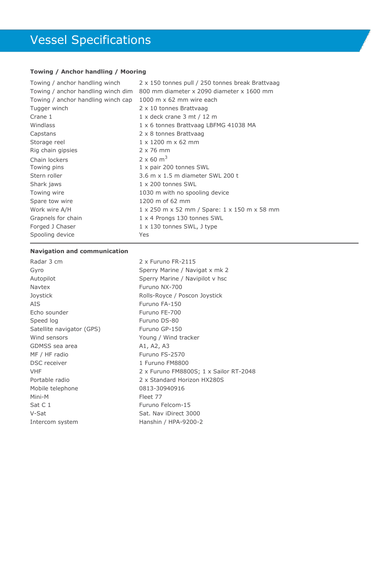### Vessel Specifications

#### **Towing / Anchor handling / Mooring**

| 2 x 150 tonnes pull / 250 tonnes break Brattvaag |
|--------------------------------------------------|
| 800 mm diameter x 2090 diameter x 1600 mm        |
| 1000 m $\times$ 62 mm wire each                  |
| 2 x 10 tonnes Brattyaag                          |
| $1 \times$ deck crane 3 mt / 12 m                |
| 1 x 6 tonnes Brattvaag LBFMG 41038 MA            |
| 2 x 8 tonnes Brattvaag                           |
| $1 \times 1200$ m $\times$ 62 mm                 |
| $2 \times 76$ mm                                 |
| $2 \times 60 \text{ m}^3$                        |
| 1 x pair 200 tonnes SWL                          |
| 3.6 m x 1.5 m diameter SWL 200 t                 |
| $1 \times 200$ tonnes SWL                        |
| 1030 m with no spooling device                   |
| 1200 m of 62 mm                                  |
| 1 x 250 m x 52 mm / Spare: 1 x 150 m x 58 mm     |
| 1 x 4 Prongs 130 tonnes SWL                      |
| $1 \times 130$ tonnes SWL, J type                |
| Yes                                              |
|                                                  |

#### **Navigation and communication**

| Radar 3 cm                |
|---------------------------|
| Gyro                      |
| Autopilot                 |
| Naytex                    |
| Joystick                  |
| AIS                       |
| Echo sounder              |
| Speed log                 |
| Satellite navigator (GPS) |
| Wind sensors              |
| GDMSS sea area            |
| MF / HF radio             |
| <b>DSC</b> receiver       |
| VHF                       |
| Portable radio            |
| Mobile telephone          |
| Mini-M                    |
| Sat C 1                   |
| V-Sat                     |
| Intercom system           |

2 x Furuno FR-2115 Sperry Marine / Navigat x mk 2 Sperry Marine / Navipilot v hsc Furuno NX-700 Rolls-Royce / Poscon Joystick Furuno FA-150 Furuno FE-700 Furuno DS-80 Furuno GP-150 Young / Wind tracker A1, A2, A3 Furuno FS-2570 1 Furuno FM8800 2 x Furuno FM8800S; 1 x Sailor RT-2048 2 x Standard Horizon HX280S 0813-30940916 Fleet 77 Furuno Felcom-15 Sat. Nav iDirect 3000 Hanshin / HPA-9200-2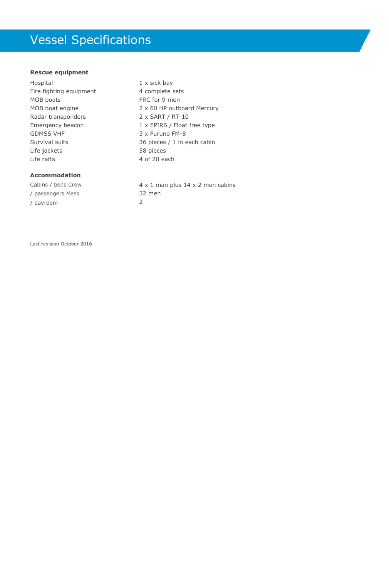# Vessel Specifications

#### **Rescue equipment**

| Hospital                | 1 x sick bay                |
|-------------------------|-----------------------------|
| Fire fighting equipment | 4 complete sets             |
| MOB boats               | FRC for 9 men               |
| MOB boat engine         | 2 x 60 HP outboard Mercury  |
| Radar transponders      | $2 \times$ SART / RT-10     |
| Emergency beacon        | 1 x EPIRB / Float free type |
| <b>GDMSS VHF</b>        | 3 x Furuno FM-8             |
| Survival suits          | 36 pieces / 1 in each cabin |
| Life jackets            | 58 pieces                   |
| Life rafts              | 4 of 20 each                |

#### **Accommodation**

Cabins / beds Crew / passengers Mess / dayroom

4 x 1 man plus 14 x 2 men cabins 32 men 2

Last revision October 2016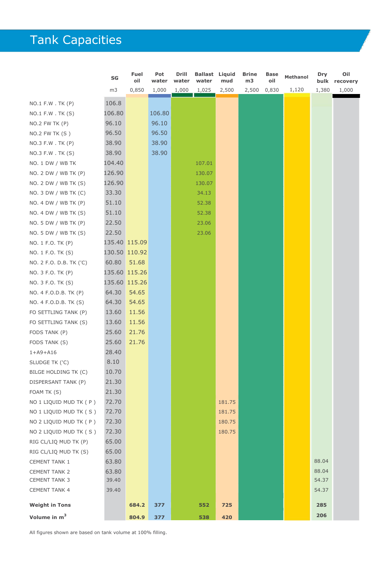# Tank Capacities

|                          | SG     | <b>Fuel</b><br>oil | Pot<br>water | Drill<br>water | Ballast<br>water | Liquid<br>mud | <b>Brine</b><br>m3 | <b>Base</b><br>oil | <b>Methanol</b> | Dry<br>bulk | Oil<br>recovery |
|--------------------------|--------|--------------------|--------------|----------------|------------------|---------------|--------------------|--------------------|-----------------|-------------|-----------------|
|                          | m3     | 0,850              | 1,000        | 1,000          | 1,025            | 2,500         | 2,500              | 0,830              | 1,120           | 1,380       | 1,000           |
| $NO.1$ F.W . TK $(P)$    | 106.8  |                    |              |                |                  |               |                    |                    |                 |             |                 |
| $NO.1$ F.W . TK $(S)$    | 106.80 |                    | 106.80       |                |                  |               |                    |                    |                 |             |                 |
| $NO.2$ FW TK $(P)$       | 96.10  |                    | 96.10        |                |                  |               |                    |                    |                 |             |                 |
| $NO.2$ FW TK $(S)$       | 96.50  |                    | 96.50        |                |                  |               |                    |                    |                 |             |                 |
| NO.3 F.W. TK (P)         | 38.90  |                    | 38.90        |                |                  |               |                    |                    |                 |             |                 |
| NO.3 F.W. TK (S)         | 38.90  |                    | 38.90        |                |                  |               |                    |                    |                 |             |                 |
| NO. 1 DW / WB TK         | 104.40 |                    |              |                | 107.01           |               |                    |                    |                 |             |                 |
| NO. 2 DW / WB TK (P)     | 126.90 |                    |              |                | 130.07           |               |                    |                    |                 |             |                 |
| NO. 2 DW / WB TK (S)     | 126.90 |                    |              |                | 130.07           |               |                    |                    |                 |             |                 |
| NO. 3 DW / WB TK (C)     | 33.30  |                    |              |                | 34.13            |               |                    |                    |                 |             |                 |
| NO. 4 DW / WB TK (P)     | 51.10  |                    |              |                | 52.38            |               |                    |                    |                 |             |                 |
| NO. 4 DW / WB TK (S)     | 51.10  |                    |              |                | 52.38            |               |                    |                    |                 |             |                 |
| NO. 5 DW / WB TK (P)     | 22.50  |                    |              |                | 23.06            |               |                    |                    |                 |             |                 |
| NO. 5 DW / WB TK (S)     | 22.50  |                    |              |                | 23.06            |               |                    |                    |                 |             |                 |
| NO. 1 F.O. TK (P)        |        | 135.40 115.09      |              |                |                  |               |                    |                    |                 |             |                 |
| NO. 1 F.O. TK (S)        |        | 130.50 110.92      |              |                |                  |               |                    |                    |                 |             |                 |
|                          |        |                    |              |                |                  |               |                    |                    |                 |             |                 |
| NO. 2 F.O. D.B. TK ('C)  | 60.80  | 51.68              |              |                |                  |               |                    |                    |                 |             |                 |
| NO. 3 F.O. TK (P)        | 135.60 | 115.26             |              |                |                  |               |                    |                    |                 |             |                 |
| NO. 3 F.O. TK (S)        |        | 135.60 115.26      |              |                |                  |               |                    |                    |                 |             |                 |
| NO. 4 F.O.D.B. TK (P)    | 64.30  | 54.65              |              |                |                  |               |                    |                    |                 |             |                 |
| NO. 4 F.O.D.B. TK (S)    | 64.30  | 54.65              |              |                |                  |               |                    |                    |                 |             |                 |
| FO SETTLING TANK (P)     | 13.60  | 11.56              |              |                |                  |               |                    |                    |                 |             |                 |
| FO SETTLING TANK (S)     | 13.60  | 11.56              |              |                |                  |               |                    |                    |                 |             |                 |
| FODS TANK (P)            | 25.60  | 21.76              |              |                |                  |               |                    |                    |                 |             |                 |
| FODS TANK (S)            | 25.60  | 21.76              |              |                |                  |               |                    |                    |                 |             |                 |
| $1+$ A9+A16              | 28.40  |                    |              |                |                  |               |                    |                    |                 |             |                 |
| SLUDGE TK ('C)           | 8.10   |                    |              |                |                  |               |                    |                    |                 |             |                 |
| BILGE HOLDING TK (C)     | 10.70  |                    |              |                |                  |               |                    |                    |                 |             |                 |
| DISPERSANT TANK (P)      | 21.30  |                    |              |                |                  |               |                    |                    |                 |             |                 |
| FOAM TK (S)              | 21.30  |                    |              |                |                  |               |                    |                    |                 |             |                 |
| NO 1 LIQUID MUD TK ( P ) | 72.70  |                    |              |                |                  | 181.75        |                    |                    |                 |             |                 |
| NO 1 LIQUID MUD TK (S)   | 72.70  |                    |              |                |                  | 181.75        |                    |                    |                 |             |                 |
| NO 2 LIQUID MUD TK ( P ) | 72.30  |                    |              |                |                  | 180.75        |                    |                    |                 |             |                 |
| NO 2 LIQUID MUD TK (S)   | 72.30  |                    |              |                |                  | 180.75        |                    |                    |                 |             |                 |
| RIG CL/LIQ MUD TK (P)    | 65.00  |                    |              |                |                  |               |                    |                    |                 |             |                 |
| RIG CL/LIQ MUD TK (S)    | 65.00  |                    |              |                |                  |               |                    |                    |                 |             |                 |
| <b>CEMENT TANK 1</b>     | 63.80  |                    |              |                |                  |               |                    |                    |                 | 88.04       |                 |
| <b>CEMENT TANK 2</b>     | 63.80  |                    |              |                |                  |               |                    |                    |                 | 88.04       |                 |
| <b>CEMENT TANK 3</b>     | 39.40  |                    |              |                |                  |               |                    |                    |                 | 54.37       |                 |
| <b>CEMENT TANK 4</b>     | 39.40  |                    |              |                |                  |               |                    |                    |                 | 54.37       |                 |
| <b>Weight in Tons</b>    |        | 684.2              | 377          |                | 552              | 725           |                    |                    |                 | 285         |                 |
| Volume in m <sup>3</sup> |        | 804.9              | 377          |                | 538              | 420           |                    |                    |                 | 206         |                 |

All figures shown are based on tank volume at 100% filling.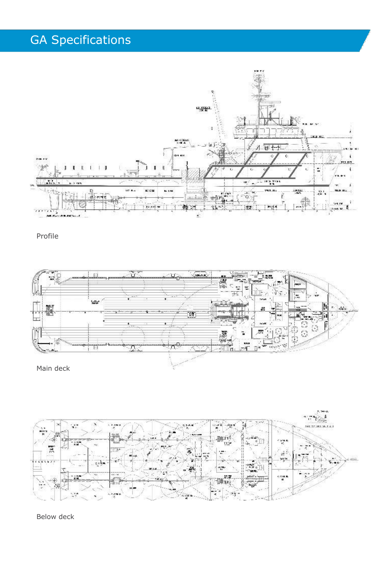### GA Specifications



Profile





Below deck